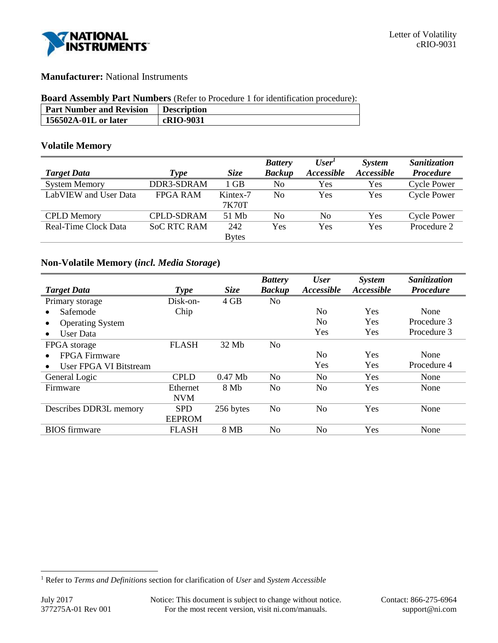

# **Manufacturer:** National Instruments

### **Board Assembly Part Numbers** (Refer to Procedure 1 for identification procedure):

| <b>Part Number and Revision</b> | <b>Description</b> |
|---------------------------------|--------------------|
| 156502A-01L or later            | cRIO-9031          |

### **Volatile Memory**

|                       |                    |              | <b>Battery</b> | User <sup>1</sup> | System     | Sanitization       |
|-----------------------|--------------------|--------------|----------------|-------------------|------------|--------------------|
| <b>Target Data</b>    | Type               | <b>Size</b>  | <b>Backup</b>  | Accessible        | Accessible | <b>Procedure</b>   |
| <b>System Memory</b>  | DDR3-SDRAM         | 1 GB         | No             | Yes               | Yes        | <b>Cycle Power</b> |
| LabVIEW and User Data | <b>FPGA RAM</b>    | Kintex-7     | No.            | Yes               | Yes        | <b>Cycle Power</b> |
|                       |                    | 7K70T        |                |                   |            |                    |
| <b>CPLD</b> Memory    | <b>CPLD-SDRAM</b>  | 51 Mb        | No             | No                | Yes        | <b>Cycle Power</b> |
| Real-Time Clock Data  | <b>SoC RTC RAM</b> | 242          | Yes            | Yes               | Yes        | Procedure 2        |
|                       |                    | <b>Bytes</b> |                |                   |            |                    |

# **Non-Volatile Memory (***incl. Media Storage***)**

|                         |               |             | <b>Battery</b> | <b>User</b>    | <i>System</i> | Sanitization     |
|-------------------------|---------------|-------------|----------------|----------------|---------------|------------------|
| <b>Target Data</b>      | <b>Type</b>   | <b>Size</b> | <b>Backup</b>  | Accessible     | Accessible    | <b>Procedure</b> |
| Primary storage         | Disk-on-      | 4 GB        | No             |                |               |                  |
| Safemode                | Chip          |             |                | No             | Yes           | None             |
| <b>Operating System</b> |               |             |                | N <sub>0</sub> | Yes           | Procedure 3      |
| <b>User Data</b>        |               |             |                | Yes            | Yes           | Procedure 3      |
| FPGA storage            | <b>FLASH</b>  | 32 Mb       | N <sub>0</sub> |                |               |                  |
| <b>FPGA Firmware</b>    |               |             |                | N <sub>0</sub> | Yes           | None             |
| User FPGA VI Bitstream  |               |             |                | Yes            | Yes           | Procedure 4      |
| General Logic           | <b>CPLD</b>   | $0.47$ Mb   | N <sub>0</sub> | N <sub>0</sub> | Yes           | None             |
| Firmware                | Ethernet      | 8 Mb        | No             | N <sub>0</sub> | Yes           | None             |
|                         | <b>NVM</b>    |             |                |                |               |                  |
| Describes DDR3L memory  | <b>SPD</b>    | 256 bytes   | N <sub>o</sub> | No             | Yes           | None             |
|                         | <b>EEPROM</b> |             |                |                |               |                  |
| <b>BIOS</b> firmware    | <b>FLASH</b>  | 8 MB        | No             | No             | Yes           | None             |

l

<sup>1</sup> Refer to *Terms and Definitions* section for clarification of *User* and *System Accessible*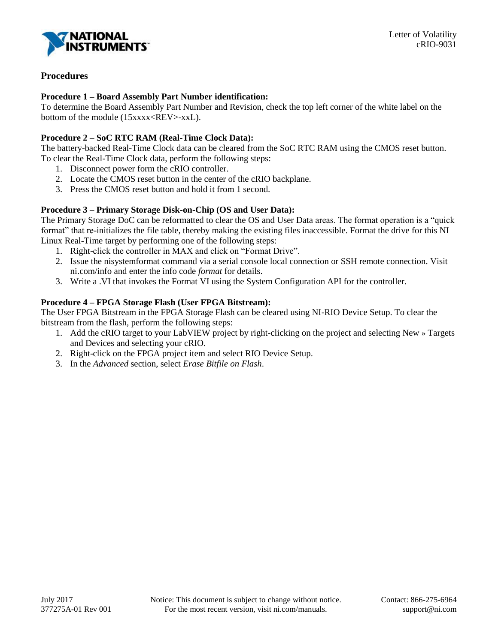

# **Procedures**

### **Procedure 1 – Board Assembly Part Number identification:**

To determine the Board Assembly Part Number and Revision, check the top left corner of the white label on the bottom of the module (15xxxx<REV>-xxL).

# **Procedure 2 – SoC RTC RAM (Real-Time Clock Data):**

The battery-backed Real-Time Clock data can be cleared from the SoC RTC RAM using the CMOS reset button. To clear the Real-Time Clock data, perform the following steps:

- 1. Disconnect power form the cRIO controller.
- 2. Locate the CMOS reset button in the center of the cRIO backplane.
- 3. Press the CMOS reset button and hold it from 1 second.

# **Procedure 3 – Primary Storage Disk-on-Chip (OS and User Data):**

The Primary Storage DoC can be reformatted to clear the OS and User Data areas. The format operation is a "quick format" that re-initializes the file table, thereby making the existing files inaccessible. Format the drive for this NI Linux Real-Time target by performing one of the following steps:

- 1. Right-click the controller in MAX and click on "Format Drive".
- 2. Issue the nisystemformat command via a serial console local connection or SSH remote connection. Visit ni.com/info and enter the info code *format* for details.
- 3. Write a .VI that invokes the Format VI using the System Configuration API for the controller.

# **Procedure 4 – FPGA Storage Flash (User FPGA Bitstream):**

The User FPGA Bitstream in the FPGA Storage Flash can be cleared using NI-RIO Device Setup. To clear the bitstream from the flash, perform the following steps:

- 1. Add the cRIO target to your LabVIEW project by right-clicking on the project and selecting New » Targets and Devices and selecting your cRIO.
- 2. Right-click on the FPGA project item and select RIO Device Setup.
- 3. In the *Advanced* section, select *Erase Bitfile on Flash*.